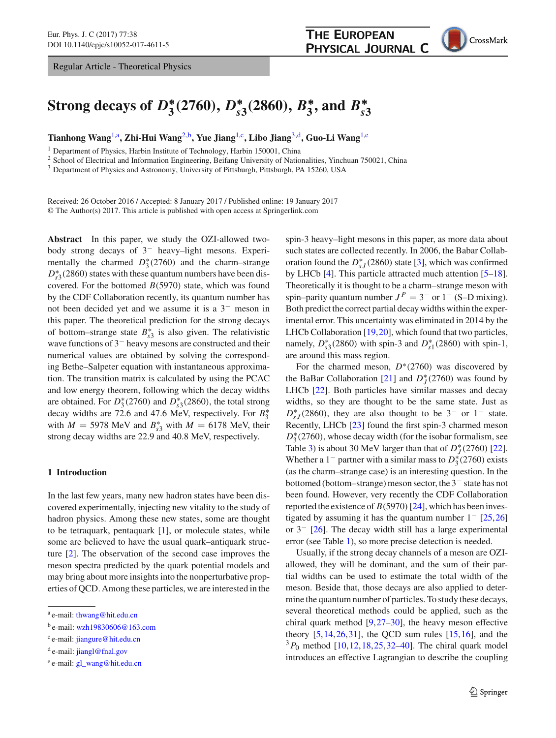Regular Article - Theoretical Physics

<span id="page-0-1"></span>

# Strong decays of  $D^*_{3}(2760),$   $D^*_{s3}(2860),$   $B^*_{3},$  and  $B^*_{s3}$

**Tianhong Wang**[1,](#page-0-0)a**, Zhi-Hui Wang**[2,](#page-0-0)b**, Yue Jiang**[1,](#page-0-0)c**, Libo Jiang**[3,](#page-0-1)d**, Guo-Li Wang**[1,](#page-0-0)e

<sup>1</sup> Department of Physics, Harbin Institute of Technology, Harbin 150001, China

<sup>2</sup> School of Electrical and Information Engineering, Beifang University of Nationalities, Yinchuan 750021, China

<sup>3</sup> Department of Physics and Astronomy, University of Pittsburgh, Pittsburgh, PA 15260, USA

Received: 26 October 2016 / Accepted: 8 January 2017 / Published online: 19 January 2017 © The Author(s) 2017. This article is published with open access at Springerlink.com

**Abstract** In this paper, we study the OZI-allowed twobody strong decays of 3− heavy–light mesons. Experimentally the charmed  $D_3^*(2760)$  and the charm–strange  $D_{s3}^*(2860)$  states with these quantum numbers have been discovered. For the bottomed *B*(5970) state, which was found by the CDF Collaboration recently, its quantum number has not been decided yet and we assume it is a 3− meson in this paper. The theoretical prediction for the strong decays of bottom–strange state  $B_{s3}^*$  is also given. The relativistic wave functions of 3− heavy mesons are constructed and their numerical values are obtained by solving the corresponding Bethe–Salpeter equation with instantaneous approximation. The transition matrix is calculated by using the PCAC and low energy theorem, following which the decay widths are obtained. For  $D_3^*(2760)$  and  $D_{s3}^*(2860)$ , the total strong decay widths are 72.6 and 47.6 MeV, respectively. For *B*∗ 3 with  $M = 5978$  MeV and  $B_{s3}^*$  with  $M = 6178$  MeV, their strong decay widths are 22.9 and 40.8 MeV, respectively.

## **1 Introduction**

In the last few years, many new hadron states have been discovered experimentally, injecting new vitality to the study of hadron physics. Among these new states, some are thought to be tetraquark, pentaquark [\[1\]](#page-7-0), or molecule states, while some are believed to have the usual quark–antiquark structure [\[2](#page-7-1)]. The observation of the second case improves the meson spectra predicted by the quark potential models and may bring about more insights into the nonperturbative properties of QCD. Among these particles, we are interested in the

<span id="page-0-0"></span>spin-3 heavy–light mesons in this paper, as more data about such states are collected recently. In 2006, the Babar Collaboration found the  $D_{sJ}^*(2860)$  state [\[3\]](#page-7-2), which was confirmed by LHCb [\[4\]](#page-7-3). This particle attracted much attention [\[5](#page-7-4)[–18](#page-7-5)]. Theoretically it is thought to be a charm–strange meson with spin–parity quantum number  $J^P = 3^-$  or  $1^-$  (S–D mixing). Both predict the correct partial decay widths within the experimental error. This uncertainty was eliminated in 2014 by the LHCb Collaboration [\[19,](#page-7-6)[20\]](#page-7-7), which found that two particles, namely,  $D_{s3}^*$ (2860) with spin-3 and  $D_{s1}^*$ (2860) with spin-1, are around this mass region.

For the charmed meson, *D*∗(2760) was discovered by the BaBar Collaboration [\[21](#page-7-8)] and  $D_J^*(2760)$  was found by LHCb [\[22\]](#page-7-9). Both particles have similar masses and decay widths, so they are thought to be the same state. Just as  $D_{sJ}^*$  (2860), they are also thought to be 3<sup>−</sup> or 1<sup>−</sup> state. Recently, LHCb [\[23](#page-7-10)] found the first spin-3 charmed meson *D*<sup>∗</sup><sub>3</sub>(2760), whose decay width (for the isobar formalism, see Table [3\)](#page-5-0) is about 30 MeV larger than that of  $D_J^*(2760)$  [\[22](#page-7-9)]. Whether a  $1^-$  partner with a similar mass to  $D_3^*(2760)$  exists (as the charm–strange case) is an interesting question. In the bottomed (bottom–strange) meson sector, the 3− state has not been found. However, very recently the CDF Collaboration reported the existence of  $B(5970)[24]$  $B(5970)[24]$  $B(5970)[24]$ , which has been investigated by assuming it has the quantum number  $1 - [25,26]$  $1 - [25,26]$  $1 - [25,26]$ or 3− [\[26\]](#page-7-13). The decay width still has a large experimental error (see Table [1\)](#page-1-0), so more precise detection is needed.

Usually, if the strong decay channels of a meson are OZIallowed, they will be dominant, and the sum of their partial widths can be used to estimate the total width of the meson. Beside that, those decays are also applied to determine the quantum number of particles. To study these decays, several theoretical methods could be applied, such as the chiral quark method  $[9,27-30]$  $[9,27-30]$  $[9,27-30]$  $[9,27-30]$ , the heavy meson effective theory  $[5,14,26,31]$  $[5,14,26,31]$  $[5,14,26,31]$  $[5,14,26,31]$  $[5,14,26,31]$ , the QCD sum rules  $[15,16]$  $[15,16]$  $[15,16]$ , and the  $3P_0$  method  $[10, 12, 18, 25, 32-40]$  $[10, 12, 18, 25, 32-40]$  $[10, 12, 18, 25, 32-40]$  $[10, 12, 18, 25, 32-40]$  $[10, 12, 18, 25, 32-40]$  $[10, 12, 18, 25, 32-40]$ . The chiral quark model introduces an effective Lagrangian to describe the coupling

<sup>a</sup> e-mail: [thwang@hit.edu.cn](mailto:thwang@hit.edu.cn)

<sup>b</sup> e-mail: [wzh19830606@163.com](mailto:wzh19830606@163.com)

<sup>c</sup> e-mail: [jiangure@hit.edu.cn](mailto:jiangure@hit.edu.cn)

<sup>d</sup> e-mail: [jiangl@fnal.gov](mailto:jiangl@fnal.gov)

<sup>e</sup> e-mail: [gl\\_wang@hit.edu.cn](mailto:gl\protect _wang@hit.edu.cn)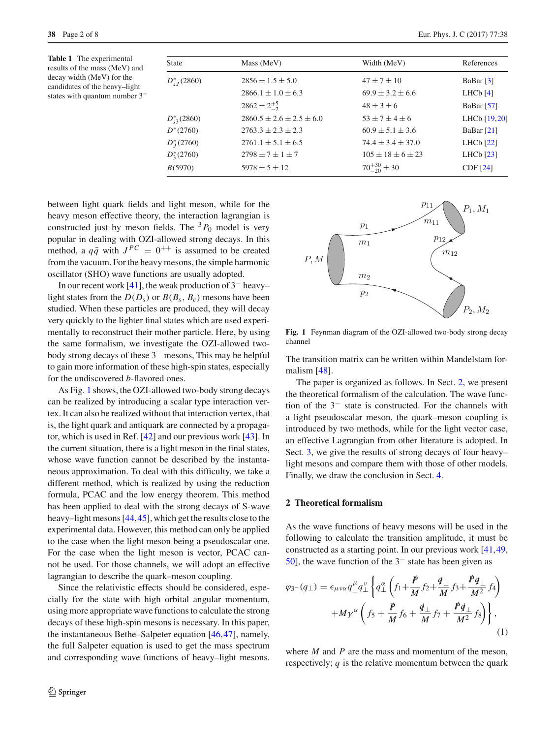<span id="page-1-0"></span>**Table 1** The experimental results of the mass (MeV) and decay width (MeV) for the candidates of the heavy–light states with quantum number 3−

| <b>State</b>     | Mass (MeV)                       | Width (MeV)               | References              |
|------------------|----------------------------------|---------------------------|-------------------------|
| $D_{cI}^*(2860)$ | $2856 \pm 1.5 \pm 5.0$           | $47 \pm 7 \pm 10$         | BaBar $\lceil 3 \rceil$ |
|                  | $2866.1 \pm 1.0 \pm 6.3$         | $69.9 \pm 3.2 \pm 6.6$    | LHCb $[4]$              |
|                  | $2862 \pm 2^{+5}_{-2}$           | $48 \pm 3 \pm 6$          | BaBar $[57]$            |
| $D_{s3}^*(2860)$ | $2860.5 \pm 2.6 \pm 2.5 \pm 6.0$ | $53 + 7 + 4 + 6$          | LHCb [19,20]            |
| $D^*(2760)$      | $2763.3 \pm 2.3 \pm 2.3$         | $60.9 \pm 5.1 \pm 3.6$    | BaBar $[21]$            |
| $D*I(2760)$      | $2761.1 \pm 5.1 \pm 6.5$         | $74.4 \pm 3.4 \pm 37.0$   | LHCb $[22]$             |
| $D_3^*(2760)$    | $2798 \pm 7 \pm 1 \pm 7$         | $105 \pm 18 \pm 6 \pm 23$ | LHCb $[23]$             |
| B(5970)          | $5978 \pm 5 \pm 12$              | $70^{+30}_{-20} \pm 30$   | <b>CDF</b> [24]         |
|                  |                                  |                           |                         |

between light quark fields and light meson, while for the heavy meson effective theory, the interaction lagrangian is constructed just by meson fields. The  ${}^{3}P_0$  model is very popular in dealing with OZI-allowed strong decays. In this method, a  $q\bar{q}$  with  $J^{PC} = 0^{++}$  is assumed to be created from the vacuum. For the heavy mesons, the simple harmonic oscillator (SHO) wave functions are usually adopted.

In our recent work [\[41\]](#page-7-26), the weak production of 3− heavy– light states from the  $D(D_s)$  or  $B(B_s, B_c)$  mesons have been studied. When these particles are produced, they will decay very quickly to the lighter final states which are used experimentally to reconstruct their mother particle. Here, by using the same formalism, we investigate the OZI-allowed twobody strong decays of these 3− mesons, This may be helpful to gain more information of these high-spin states, especially for the undiscovered *b*-flavored ones.

As Fig. [1](#page-1-1) shows, the OZI-allowed two-body strong decays can be realized by introducing a scalar type interaction vertex. It can also be realized without that interaction vertex, that is, the light quark and antiquark are connected by a propagator, which is used in Ref. [\[42\]](#page-7-27) and our previous work [\[43\]](#page-7-28). In the current situation, there is a light meson in the final states, whose wave function cannot be described by the instantaneous approximation. To deal with this difficulty, we take a different method, which is realized by using the reduction formula, PCAC and the low energy theorem. This method has been applied to deal with the strong decays of S-wave heavy–light mesons [\[44](#page-7-29)[,45](#page-7-30)], which get the results close to the experimental data. However, this method can only be applied to the case when the light meson being a pseudoscalar one. For the case when the light meson is vector, PCAC cannot be used. For those channels, we will adopt an effective lagrangian to describe the quark–meson coupling.

Since the relativistic effects should be considered, especially for the state with high orbital angular momentum, using more appropriate wave functions to calculate the strong decays of these high-spin mesons is necessary. In this paper, the instantaneous Bethe–Salpeter equation [\[46](#page-7-31),[47\]](#page-7-32), namely, the full Salpeter equation is used to get the mass spectrum and corresponding wave functions of heavy–light mesons.





<span id="page-1-1"></span>**Fig. 1** Feynman diagram of the OZI-allowed two-body strong decay channel

The transition matrix can be written within Mandelstam formalism [\[48](#page-7-33)].

The paper is organized as follows. In Sect. [2,](#page-1-2) we present the theoretical formalism of the calculation. The wave function of the 3− state is constructed. For the channels with a light pseudoscalar meson, the quark–meson coupling is introduced by two methods, while for the light vector case, an effective Lagrangian from other literature is adopted. In Sect. [3,](#page-3-0) we give the results of strong decays of four heavy– light mesons and compare them with those of other models. Finally, we draw the conclusion in Sect. [4.](#page-6-0)

## <span id="page-1-2"></span>**2 Theoretical formalism**

As the wave functions of heavy mesons will be used in the following to calculate the transition amplitude, it must be constructed as a starting point. In our previous work [\[41,](#page-7-26)[49,](#page-7-34) [50](#page-7-35)], the wave function of the 3− state has been given as

<span id="page-1-3"></span>
$$
\varphi_{3}-(q_{\perp}) = \epsilon_{\mu\nu\alpha}q_{\perp}^{\mu}q_{\perp}^{\nu}\left\{q_{\perp}^{\alpha}\left(f_{1}+\frac{\cancel{P}}{M}f_{2}+\frac{\cancel{q}_{\perp}}{M}f_{3}+\frac{\cancel{P}q_{\perp}}{M^{2}}f_{4}\right) + M\gamma^{\alpha}\left(f_{5}+\frac{\cancel{P}}{M}f_{6}+\frac{\cancel{q}_{\perp}}{M}f_{7}+\frac{\cancel{P}q_{\perp}}{M^{2}}f_{8}\right)\right\},\tag{1}
$$

where *M* and *P* are the mass and momentum of the meson, respectively; *q* is the relative momentum between the quark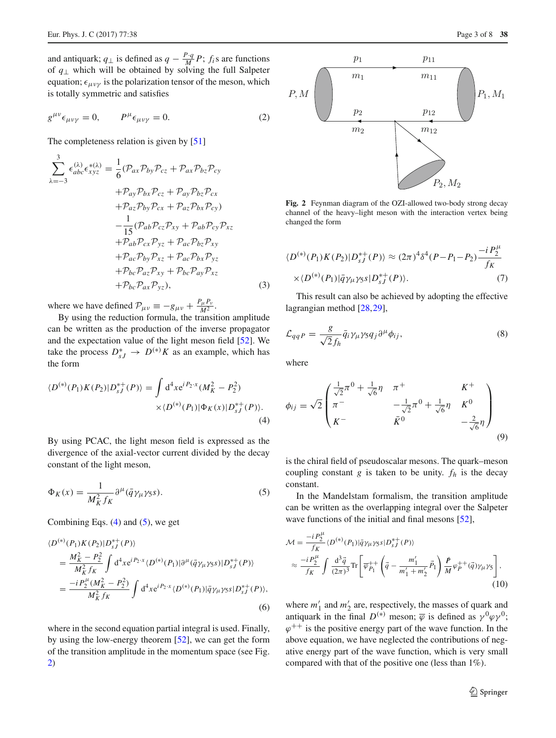and antiquark;  $q_{\perp}$  is defined as  $q - \frac{P \cdot q}{M} P$ ;  $f_i$ s are functions of *q*<sup>⊥</sup> which will be obtained by solving the full Salpeter equation;  $\epsilon_{\mu\nu\nu}$  is the polarization tensor of the meson, which is totally symmetric and satisfies

$$
g^{\mu\nu}\epsilon_{\mu\nu\gamma} = 0, \qquad P^{\mu}\epsilon_{\mu\nu\gamma} = 0.
$$
 (2)

The completeness relation is given by [\[51](#page-7-36)]

$$
\sum_{\lambda=-3}^{3} \epsilon_{abc}^{(\lambda)} \epsilon_{xyz}^{*(\lambda)} = \frac{1}{6} (\mathcal{P}_{ax} \mathcal{P}_{by} \mathcal{P}_{cz} + \mathcal{P}_{ax} \mathcal{P}_{bz} \mathcal{P}_{cy} \n+ \mathcal{P}_{ay} \mathcal{P}_{bx} \mathcal{P}_{cz} + \mathcal{P}_{ay} \mathcal{P}_{bz} \mathcal{P}_{cx} \n+ \mathcal{P}_{az} \mathcal{P}_{by} \mathcal{P}_{cx} + \mathcal{P}_{az} \mathcal{P}_{bx} \mathcal{P}_{cy} \n- \frac{1}{15} (\mathcal{P}_{ab} \mathcal{P}_{cz} \mathcal{P}_{xy} + \mathcal{P}_{ab} \mathcal{P}_{cy} \mathcal{P}_{xz} \n+ \mathcal{P}_{ab} \mathcal{P}_{cx} \mathcal{P}_{yz} + \mathcal{P}_{ac} \mathcal{P}_{bz} \mathcal{P}_{xy} \n+ \mathcal{P}_{ac} \mathcal{P}_{by} \mathcal{P}_{xz} + \mathcal{P}_{ac} \mathcal{P}_{bx} \mathcal{P}_{yz} \n+ \mathcal{P}_{bc} \mathcal{P}_{az} \mathcal{P}_{xy} + \mathcal{P}_{bc} \mathcal{P}_{ay} \mathcal{P}_{xz} \n+ \mathcal{P}_{bc} \mathcal{P}_{ax} \mathcal{P}_{yz}),
$$
\n(3)

where we have defined  $\mathcal{P}_{\mu\nu} \equiv -g_{\mu\nu} + \frac{P_{\mu}P_{\nu}}{M^2}$ .

By using the reduction formula, the transition amplitude can be written as the production of the inverse propagator and the expectation value of the light meson field [\[52](#page-7-37)]. We take the process  $D_{sJ}^* \rightarrow D^{(*)}K$  as an example, which has the form

<span id="page-2-0"></span>
$$
\langle D^{(*)}(P_1)K(P_2)|D_{sJ}^{*+}(P)\rangle = \int d^4x e^{iP_2 \cdot x} (M_K^2 - P_2^2)
$$
  
 
$$
\times \langle D^{(*)}(P_1)|\Phi_K(x)|D_{sJ}^{*+}(P)\rangle.
$$
 (4)

By using PCAC, the light meson field is expressed as the divergence of the axial-vector current divided by the decay constant of the light meson,

<span id="page-2-1"></span>
$$
\Phi_K(x) = \frac{1}{M_K^2 f_K} \partial^\mu (\bar{q} \gamma_\mu \gamma_5 s). \tag{5}
$$

Combining Eqs.  $(4)$  and  $(5)$ , we get

$$
\langle D^{(*)}(P_1)K(P_2)|D_{sJ}^{*+}(P)\rangle
$$
\n
$$
=\frac{M_K^2-P_2^2}{M_K^2f_K}\int d^4xe^{iP_2\cdot x}\langle D^{(*)}(P_1)|\partial^{\mu}(\bar{q}\gamma_{\mu}\gamma_{5}s)|D_{sJ}^{*+}(P)\rangle
$$
\n
$$
=\frac{-iP_2^{\mu}(M_K^2-P_2^2)}{M_K^2f_K}\int d^4xe^{iP_2\cdot x}\langle D^{(*)}(P_1)|\bar{q}\gamma_{\mu}\gamma_{5}s|D_{sJ}^{*+}(P)\rangle,
$$
\n(6)

where in the second equation partial integral is used. Finally, by using the low-energy theorem [\[52\]](#page-7-37), we can get the form of the transition amplitude in the momentum space (see Fig. [2\)](#page-2-2)



<span id="page-2-2"></span>**Fig. 2** Feynman diagram of the OZI-allowed two-body strong decay channel of the heavy–light meson with the interaction vertex being changed the form

$$
\langle D^{(*)}(P_1)K(P_2)|D_{sJ}^{*+}(P)\rangle \approx (2\pi)^4\delta^4(P-P_1-P_2)\frac{-iP_2^{\mu}}{f_K}
$$
  
 
$$
\times \langle D^{(*)}(P_1)|\bar{q}\gamma_{\mu}\gamma_5s|D_{sJ}^{*+}(P)\rangle. \tag{7}
$$

This result can also be achieved by adopting the effective lagrangian method [\[28](#page-7-38),[29\]](#page-7-39),

$$
\mathcal{L}_{qqP} = \frac{g}{\sqrt{2}f_h} \bar{q}_i \gamma_\mu \gamma_5 q_j \partial^\mu \phi_{ij},\tag{8}
$$

where

$$
\phi_{ij} = \sqrt{2} \begin{pmatrix} \frac{1}{\sqrt{2}} \pi^0 + \frac{1}{\sqrt{6}} \eta & \pi^+ & K^+ \\ \pi^- & -\frac{1}{\sqrt{2}} \pi^0 + \frac{1}{\sqrt{6}} \eta & K^0 \\ K^- & \bar{K}^0 & -\frac{2}{\sqrt{6}} \eta \end{pmatrix}
$$
(9)

is the chiral field of pseudoscalar mesons. The quark–meson coupling constant  $g$  is taken to be unity.  $f_h$  is the decay constant.

In the Mandelstam formalism, the transition amplitude can be written as the overlapping integral over the Salpeter wave functions of the initial and final mesons [\[52\]](#page-7-37),

<span id="page-2-3"></span>
$$
\mathcal{M} = \frac{-i P_2^{\mu}}{f_K} \langle D^{(*)}(P_1) | \bar{q} \gamma_{\mu} \gamma_5 s | D_s^{*+}(P) \rangle \n\approx \frac{-i P_2^{\mu}}{f_K} \int \frac{\mathrm{d}^3 \vec{q}}{(2\pi)^3} \mathrm{Tr} \left[ \overline{\varphi}_{P_1}^{++} \left( \vec{q} - \frac{m_1'}{m_1' + m_2'} \vec{P}_1 \right) \frac{\vec{P}}{M} \varphi_P^{++}(\vec{q}) \gamma_{\mu} \gamma_5 \right],
$$
\n(10)

where  $m'_1$  and  $m'_2$  are, respectively, the masses of quark and antiquark in the final  $D^{(*)}$  meson;  $\overline{\varphi}$  is defined as  $\gamma^0 \varphi \gamma^0$ ;  $\varphi^{++}$  is the positive energy part of the wave function. In the above equation, we have neglected the contributions of negative energy part of the wave function, which is very small compared with that of the positive one (less than 1%).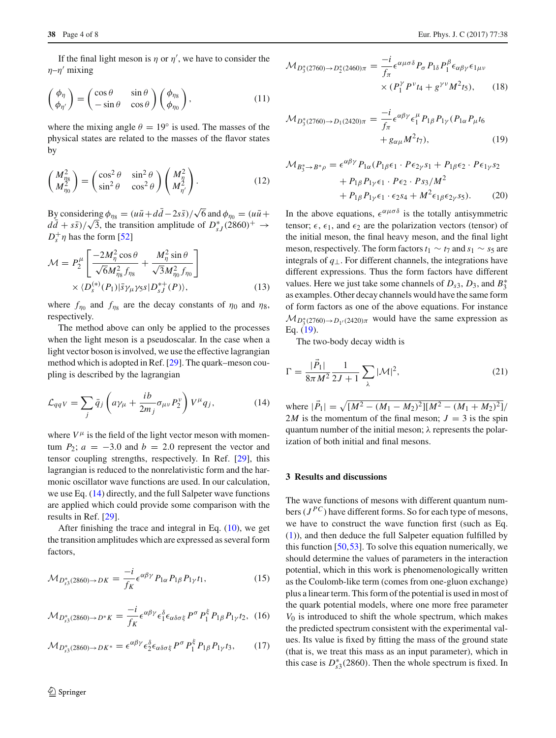If the final light meson is  $\eta$  or  $\eta'$ , we have to consider the  $\eta-\eta'$  mixing

$$
\begin{pmatrix} \phi_{\eta} \\ \phi_{\eta'} \end{pmatrix} = \begin{pmatrix} \cos \theta & \sin \theta \\ -\sin \theta & \cos \theta \end{pmatrix} \begin{pmatrix} \phi_{\eta_8} \\ \phi_{\eta_0} \end{pmatrix}, \tag{11}
$$

where the mixing angle  $\theta = 19^\circ$  is used. The masses of the physical states are related to the masses of the flavor states by

$$
\begin{pmatrix} M_{\eta_8}^2 \\ M_{\eta_0}^2 \end{pmatrix} = \begin{pmatrix} \cos^2 \theta & \sin^2 \theta \\ \sin^2 \theta & \cos^2 \theta \end{pmatrix} \begin{pmatrix} M_{\eta}^2 \\ M_{\eta'}^2 \end{pmatrix} . \tag{12}
$$

By considering  $\phi_{\eta_8} = (u\bar{u} + d\bar{d} - 2s\bar{s})/\sqrt{6}$  and  $\phi_{\eta_0} = (u\bar{u} +$  $\frac{d}{d\vec{a}} + s\vec{s}$ )/ $\sqrt{3}$ , the transition amplitude of  $D_{sJ}^*$  (2860)<sup>+</sup> →  $D_s^+$ η has the form [\[52](#page-7-37)]

$$
\mathcal{M} = P_2^{\mu} \left[ \frac{-2M_{\eta}^2 \cos \theta}{\sqrt{6} M_{\eta_8}^2 f_{\eta_8}} + \frac{M_{\eta}^2 \sin \theta}{\sqrt{3} M_{\eta_0}^2 f_{\eta_0}} \right] \times \langle D_s^{(*)}(P_1) | \bar{s} \gamma_{\mu} \gamma_5 s | D_s^* (P) \rangle, \qquad (13)
$$

where  $f_{\eta_0}$  and  $f_{\eta_8}$  are the decay constants of  $\eta_0$  and  $\eta_8$ , respectively.

The method above can only be applied to the processes when the light meson is a pseudoscalar. In the case when a light vector boson is involved, we use the effective lagrangian method which is adopted in Ref. [\[29](#page-7-39)]. The quark–meson coupling is described by the lagrangian

$$
\mathcal{L}_{qqV} = \sum_{j} \bar{q}_j \left( a\gamma_\mu + \frac{ib}{2m_j} \sigma_{\mu\nu} P_2^{\nu} \right) V^{\mu} q_j, \tag{14}
$$

where  $V^{\mu}$  is the field of the light vector meson with momentum  $P_2$ ;  $a = -3.0$  and  $b = 2.0$  represent the vector and tensor coupling strengths, respectively. In Ref. [\[29](#page-7-39)], this lagrangian is reduced to the nonrelativistic form and the harmonic oscillator wave functions are used. In our calculation, we use Eq. [\(14\)](#page-3-1) directly, and the full Salpeter wave functions are applied which could provide some comparison with the results in Ref. [\[29](#page-7-39)].

After finishing the trace and integral in Eq.  $(10)$ , we get the transition amplitudes which are expressed as several form factors,

$$
\mathcal{M}_{D_{s3}^*(2860)\to DK} = \frac{-i}{f_K} \epsilon^{\alpha\beta\gamma} P_{1\alpha} P_{1\beta} P_{1\gamma} t_1,\tag{15}
$$

$$
\mathcal{M}_{D_{s3}^*(2860)\to D^*K} = \frac{-i}{f_K} \epsilon^{\alpha\beta\gamma} \epsilon_1^{\delta} \epsilon_{\alpha\delta\sigma\xi} P^{\sigma} P_1^{\xi} P_{1\beta} P_{1\gamma} t_2, \tag{16}
$$

$$
\mathcal{M}_{D_{s3}^*(2860)\to D K^*} = \epsilon^{\alpha\beta\gamma} \epsilon_2^{\delta} \epsilon_{\alpha\delta\sigma\xi} P^{\sigma} P_1^{\xi} P_{1\beta} P_{1\gamma} t_3, \qquad (17)
$$

$$
\mathcal{M}_{D_3^*(2760)\to D_2^*(2460)\pi} = \frac{-i}{f_\pi} \epsilon^{\alpha\mu\sigma\delta} P_\sigma P_{1\delta} P_1^\beta \epsilon_{\alpha\beta\gamma} \epsilon_{1\mu\nu}
$$

$$
\times (P_1^\gamma P^\nu t_4 + g^{\gamma\nu} M^2 t_5), \qquad (18)
$$

<span id="page-3-2"></span>
$$
\mathcal{M}_{D_3^*(2760)\to D_1(2420)\pi} = \frac{-i}{f_\pi} \epsilon^{\alpha\beta\gamma} \epsilon_1^{\mu} P_{1\beta} P_{1\gamma} (P_{1\alpha} P_{\mu} t_6 + g_{\alpha\mu} M^2 t_7), \qquad (19)
$$

$$
\mathcal{M}_{B_3^* \to B^*\rho} = \epsilon^{\alpha\beta\gamma} P_{1\alpha} (P_{1\beta}\epsilon_1 \cdot P \epsilon_{2\gamma} s_1 + P_{1\beta}\epsilon_2 \cdot P \epsilon_{1\gamma} s_2 \n+ P_{1\beta} P_{1\gamma} \epsilon_1 \cdot P \epsilon_2 \cdot P s_3 / M^2 \n+ P_{1\beta} P_{1\gamma} \epsilon_1 \cdot \epsilon_2 s_4 + M^2 \epsilon_{1\beta} \epsilon_{2\gamma} s_5).
$$
\n(20)

In the above equations,  $\epsilon^{\alpha\mu\sigma\delta}$  is the totally antisymmetric tensor;  $\epsilon$ ,  $\epsilon_1$ , and  $\epsilon_2$  are the polarization vectors (tensor) of the initial meson, the final heavy meson, and the final light meson, respectively. The form factors  $t_1 \sim t_7$  and  $s_1 \sim s_5$  are integrals of  $q_{\perp}$ . For different channels, the integrations have different expressions. Thus the form factors have different values. Here we just take some channels of  $D_{s3}$ ,  $D_3$ , and  $B_3^*$ as examples. Other decay channels would have the same form of form factors as one of the above equations. For instance  $M_{D_3^*(2760) \to D_{1'}(2420)\pi}$  would have the same expression as Eq.  $(19)$ .

The two-body decay width is

<span id="page-3-1"></span>
$$
\Gamma = \frac{|\vec{P}_1|}{8\pi M^2} \frac{1}{2J+1} \sum_{\lambda} |\mathcal{M}|^2,
$$
\n(21)

where  $|\vec{P}_1| = \sqrt{[M^2 - (M_1 - M_2)^2][M^2 - (M_1 + M_2)^2]}/$ 2*M* is the momentum of the final meson;  $J = 3$  is the spin quantum number of the initial meson;  $\lambda$  represents the polarization of both initial and final mesons.

### <span id="page-3-0"></span>**3 Results and discussions**

The wave functions of mesons with different quantum numbers  $(J^{PC})$  have different forms. So for each type of mesons, we have to construct the wave function first (such as Eq. [\(1\)](#page-1-3)), and then deduce the full Salpeter equation fulfilled by this function  $[50,53]$  $[50,53]$  $[50,53]$ . To solve this equation numerically, we should determine the values of parameters in the interaction potential, which in this work is phenomenologically written as the Coulomb-like term (comes from one-gluon exchange) plus a linear term. This form of the potential is used in most of the quark potential models, where one more free parameter *V*<sup>0</sup> is introduced to shift the whole spectrum, which makes the predicted spectrum consistent with the experimental values. Its value is fixed by fitting the mass of the ground state (that is, we treat this mass as an input parameter), which in this case is  $D_{s3}^*(2860)$ . Then the whole spectrum is fixed. In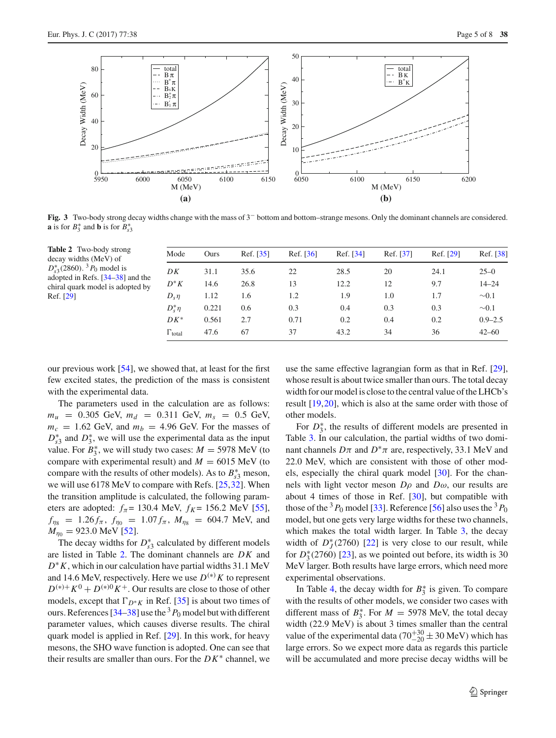

<span id="page-4-1"></span>**Fig. 3** Two-body strong decay widths change with the mass of 3− bottom and bottom–strange mesons. Only the dominant channels are considered. **a** is for  $B_3^*$  and **b** is for  $B_{s3}^*$ 

<span id="page-4-0"></span>

| Table 2 Two-body strong<br>decay widths (MeV) of<br>$D_{s3}^*(2860)$ . <sup>3</sup> $P_0$ model is<br>adopted in Refs. [34–38] and the<br>chiral quark model is adopted by<br>Ref. [29] | Mode      | Ours  | Ref. [35] | Ref. [36] | Ref. [34] | Ref. [37] | Ref. [29] | Ref. [38]   |
|-----------------------------------------------------------------------------------------------------------------------------------------------------------------------------------------|-----------|-------|-----------|-----------|-----------|-----------|-----------|-------------|
|                                                                                                                                                                                         | DK        | 31.1  | 35.6      | 22        | 28.5      | 20        | 24.1      | $25 - 0$    |
|                                                                                                                                                                                         | $D^*K$    | 14.6  | 26.8      | 13        | 12.2      | 12        | 9.7       | $14 - 24$   |
|                                                                                                                                                                                         | $D_s n$   | 1.12  | 1.6       | 1.2       | 1.9       | 1.0       | 1.7       | $\sim 0.1$  |
|                                                                                                                                                                                         | $D^*\eta$ | 0.221 | 0.6       | 0.3       | 0.4       | 0.3       | 0.3       | $\sim 0.1$  |
|                                                                                                                                                                                         | $DK^*$    | 0.561 | 2.7       | 0.71      | 0.2       | 0.4       | 0.2       | $0.9 - 2.5$ |
|                                                                                                                                                                                         | $1$ total | 47.6  | 67        | 37        | 43.2      | 34        | 36        | $42 - 60$   |

our previous work [\[54](#page-7-46)], we showed that, at least for the first few excited states, the prediction of the mass is consistent with the experimental data.

The parameters used in the calculation are as follows:  $m_u$  = 0.305 GeV,  $m_d$  = 0.311 GeV,  $m_s$  = 0.5 GeV,  $m_c = 1.62$  GeV, and  $m_b = 4.96$  GeV. For the masses of  $D_{s3}^*$  and  $D_3^*$ , we will use the experimental data as the input value. For  $B_3^*$ , we will study two cases:  $M = 5978$  MeV (to compare with experimental result) and  $M = 6015$  MeV (to compare with the results of other models). As to  $B_{s3}^*$  meson, we will use 6178 MeV to compare with Refs. [\[25](#page-7-12),[32](#page-7-23)]. When the transition amplitude is calculated, the following parameters are adopted:  $f_{\pi}$  = 130.4 MeV,  $f_{K}$  = 156.2 MeV [\[55](#page-7-47)],  $f_{\eta_8}$  = 1.26 $f_{\pi}$ ,  $f_{\eta_0}$  = 1.07 $f_{\pi}$ ,  $M_{\eta_8}$  = 604.7 MeV, and  $M_{\eta0} = 923.0 \text{ MeV}$  [\[52\]](#page-7-37).

The decay widths for  $D_{s3}^*$  calculated by different models are listed in Table [2.](#page-4-0) The dominant channels are *DK* and *D*∗*K*, which in our calculation have partial widths 31.1 MeV and 14.6 MeV, respectively. Here we use  $D^{(*)}K$  to represent  $D^{(*)+}K^0 + D^{(*)0}K^+$ . Our results are close to those of other models, except that  $\Gamma_{D^*K}$  in Ref. [\[35\]](#page-7-43) is about two times of ours. References [\[34](#page-7-41)[–38](#page-7-42)] use the  $3P_0$  model but with different parameter values, which causes diverse results. The chiral quark model is applied in Ref. [\[29\]](#page-7-39). In this work, for heavy mesons, the SHO wave function is adopted. One can see that their results are smaller than ours. For the *DK*∗ channel, we

use the same effective lagrangian form as that in Ref. [\[29](#page-7-39)], whose result is about twice smaller than ours. The total decay width for our model is close to the central value of the LHCb's result [\[19](#page-7-6)[,20](#page-7-7)], which is also at the same order with those of other models.

For  $D_3^*$ , the results of different models are presented in Table [3.](#page-5-0) In our calculation, the partial widths of two dominant channels  $D\pi$  and  $D^*\pi$  are, respectively, 33.1 MeV and 22.0 MeV, which are consistent with those of other models, especially the chiral quark model [\[30\]](#page-7-16). For the channels with light vector meson *D*ρ and *D*ω, our results are about 4 times of those in Ref. [\[30](#page-7-16)], but compatible with those of the <sup>3</sup> $P_0$  model [\[33](#page-7-48)]. Reference [\[56](#page-7-49)] also uses the <sup>3</sup> $P_0$ model, but one gets very large widths for these two channels, which makes the total width larger. In Table [3,](#page-5-0) the decay width of  $D_J^*(2760)$  [\[22](#page-7-9)] is very close to our result, while for  $D_3^*(2760)$  [\[23](#page-7-10)], as we pointed out before, its width is 30 MeV larger. Both results have large errors, which need more experimental observations.

In Table [4,](#page-5-1) the decay width for  $B_3^*$  is given. To compare with the results of other models, we consider two cases with different mass of  $B_3^*$ . For  $M = 5978$  MeV, the total decay width (22.9 MeV) is about 3 times smaller than the central value of the experimental data ( $70^{+30}_{-20} \pm 30$  MeV) which has large errors. So we expect more data as regards this particle will be accumulated and more precise decay widths will be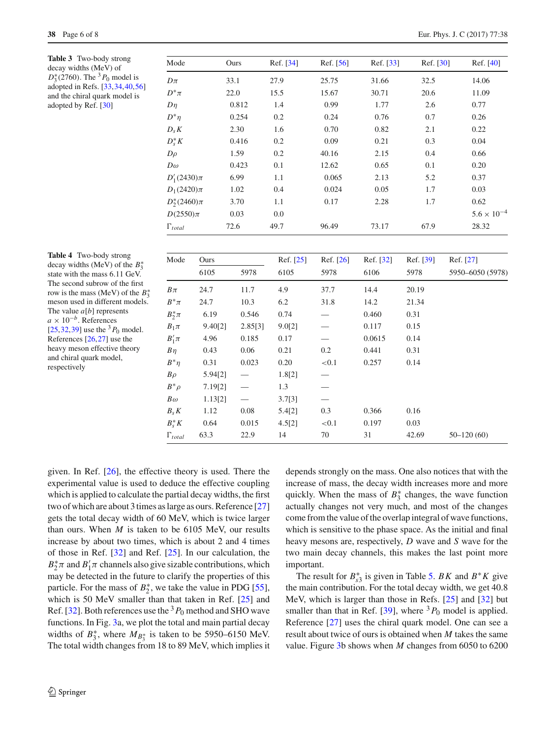<span id="page-5-0"></span>**Table 3** Two-body strong decay widths (MeV) of *D*<sup>∗</sup><sub>3</sub>(2760). The <sup>3</sup>*P*<sub>0</sub> model is adopted in Refs. [\[33](#page-7-48)[,34](#page-7-41)[,40](#page-7-24)[,56](#page-7-49)] and the chiral quark model is adopted by Ref. [\[30](#page-7-16)]

| Mode                 | Ours  | Ref. [34] | Ref. [56] | Ref. [33] | Ref. [30] | Ref. [40]            |
|----------------------|-------|-----------|-----------|-----------|-----------|----------------------|
| $D\pi$               | 33.1  | 27.9      | 25.75     | 31.66     | 32.5      | 14.06                |
| $D^*\pi$             | 22.0  | 15.5      | 15.67     | 30.71     | 20.6      | 11.09                |
| $D\eta$              | 0.812 | 1.4       | 0.99      | 1.77      | 2.6       | 0.77                 |
| $D^*\eta$            | 0.254 | 0.2       | 0.24      | 0.76      | 0.7       | 0.26                 |
| $D_s K$              | 2.30  | 1.6       | 0.70      | 0.82      | 2.1       | 0.22                 |
| $D_{s}^{*}K$         | 0.416 | 0.2       | 0.09      | 0.21      | 0.3       | 0.04                 |
| $D\rho$              | 1.59  | 0.2       | 40.16     | 2.15      | 0.4       | 0.66                 |
| $D\omega$            | 0.423 | 0.1       | 12.62     | 0.65      | 0.1       | 0.20                 |
| $D'_{1}(2430)\pi$    | 6.99  | 1.1       | 0.065     | 2.13      | 5.2       | 0.37                 |
| $D_1(2420)\pi$       | 1.02  | 0.4       | 0.024     | 0.05      | 1.7       | 0.03                 |
| $D_{2}^{*}(2460)\pi$ | 3.70  | 1.1       | 0.17      | 2.28      | 1.7       | 0.62                 |
| $D(2550)\pi$         | 0.03  | 0.0       |           |           |           | $5.6 \times 10^{-4}$ |
| $\Gamma_{total}$     | 72.6  | 49.7      | 96.49     | 73.17     | 67.9      | 28.32                |

<span id="page-5-1"></span>**Table 4** Two-body strong decay widths (MeV) of the *B*∗ 3 state with the mass 6.11 GeV. The second subrow of the first row is the mass (MeV) of the *B*∗ 3 meson used in different models. The value *a*[*b*] represents *<sup>a</sup>* <sup>×</sup> <sup>10</sup>−*b*. References [\[25](#page-7-12)[,32](#page-7-23)[,39\]](#page-7-50) use the  ${}^{3}P_0$  model. References [\[26](#page-7-13)[,27](#page-7-15)] use the heavy meson effective theory and chiral quark model, respectively

| Mode             | Ours    |         | Ref. [25] | Ref. [26] | Ref. [32] | Ref. [39] | Ref. [27]        |
|------------------|---------|---------|-----------|-----------|-----------|-----------|------------------|
|                  | 6105    | 5978    | 6105      | 5978      | 6106      | 5978      | 5950-6050 (5978) |
| $B\pi$           | 24.7    | 11.7    | 4.9       | 37.7      | 14.4      | 20.19     |                  |
| $B^*\pi$         | 24.7    | 10.3    | 6.2       | 31.8      | 14.2      | 21.34     |                  |
| $B_2^* \pi$      | 6.19    | 0.546   | 0.74      |           | 0.460     | 0.31      |                  |
| $B_1\pi$         | 9.40[2] | 2.85[3] | 9.0[2]    |           | 0.117     | 0.15      |                  |
| $B'_1\pi$        | 4.96    | 0.185   | 0.17      |           | 0.0615    | 0.14      |                  |
| $B\eta$          | 0.43    | 0.06    | 0.21      | 0.2       | 0.441     | 0.31      |                  |
| $B^*n$           | 0.31    | 0.023   | 0.20      | < 0.1     | 0.257     | 0.14      |                  |
| $B\rho$          | 5.94[2] |         | 1.8[2]    |           |           |           |                  |
| $B^*\rho$        | 7.19[2] |         | 1.3       |           |           |           |                  |
| $B\omega$        | 1.13[2] |         | 3.7[3]    |           |           |           |                  |
| $B_s K$          | 1.12    | 0.08    | 5.4[2]    | 0.3       | 0.366     | 0.16      |                  |
| $B^*_{s}K$       | 0.64    | 0.015   | 4.5[2]    | < 0.1     | 0.197     | 0.03      |                  |
| $\Gamma_{total}$ | 63.3    | 22.9    | 14        | 70        | 31        | 42.69     | $50 - 120(60)$   |

given. In Ref. [\[26](#page-7-13)], the effective theory is used. There the experimental value is used to deduce the effective coupling which is applied to calculate the partial decay widths, the first two of which are about 3 times as large as ours. Reference [\[27\]](#page-7-15) gets the total decay width of 60 MeV, which is twice larger than ours. When  $M$  is taken to be 6105 MeV, our results increase by about two times, which is about 2 and 4 times of those in Ref. [\[32\]](#page-7-23) and Ref. [\[25\]](#page-7-12). In our calculation, the  $B_2^* \pi$  and  $B_1' \pi$  channels also give sizable contributions, which may be detected in the future to clarify the properties of this particle. For the mass of  $B_2^*$ , we take the value in PDG [\[55](#page-7-47)], which is 50 MeV smaller than that taken in Ref. [\[25\]](#page-7-12) and Ref. [\[32\]](#page-7-23). Both references use the  $3P_0$  method and SHO wave functions. In Fig. [3a](#page-4-1), we plot the total and main partial decay widths of  $B_3^*$ , where  $M_{B_3^*}$  is taken to be 5950–6150 MeV. The total width changes from 18 to 89 MeV, which implies it

depends strongly on the mass. One also notices that with the increase of mass, the decay width increases more and more quickly. When the mass of  $B_3^*$  changes, the wave function actually changes not very much, and most of the changes come from the value of the overlap integral of wave functions, which is sensitive to the phase space. As the initial and final heavy mesons are, respectively, *D* wave and *S* wave for the two main decay channels, this makes the last point more important.

The result for  $B_{s3}^*$  is given in Table [5.](#page-6-1) *BK* and  $B^*K$  give the main contribution. For the total decay width, we get 40.8 MeV, which is larger than those in Refs. [\[25\]](#page-7-12) and [\[32](#page-7-23)] but smaller than that in Ref.  $[39]$ , where  ${}^{3}P_0$  model is applied. Reference [\[27\]](#page-7-15) uses the chiral quark model. One can see a result about twice of ours is obtained when *M* takes the same value. Figure [3b](#page-4-1) shows when *M* changes from 6050 to 6200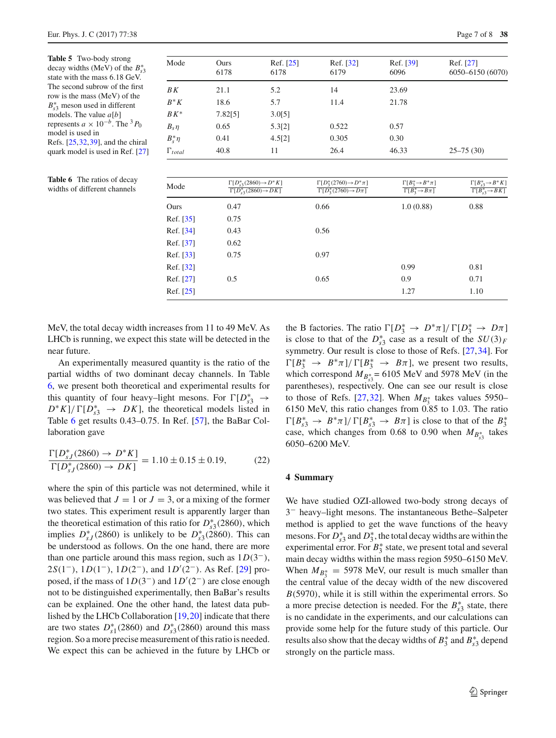<span id="page-6-1"></span>**Table 5** Two-body strong decay widths (MeV) of the  $B_{s3}^*$ state with the mass 6.18 GeV. The second subrow of the first row is the mass (MeV) of the *B*<sup>∗</sup><sub>s</sub>3</sub> meson used in different models. The value *a*[*b*] represents  $a \times 10^{-b}$ . The <sup>3</sup> $P_0$ model is used in Refs. [\[25](#page-7-12)[,32](#page-7-23)[,39\]](#page-7-50), and the chiral quark model is used in Ref. [\[27\]](#page-7-15)

<span id="page-6-2"></span>

| <b>Table 6</b> The ratios of decay |      | $\Gamma[D_s^*]$ |
|------------------------------------|------|-----------------|
| widths of different channels       | Mode | $\Gamma[D]$     |

| Mode             | Ours<br>6178 | Ref. [25]<br>6178 | Ref. [32]<br>6179 | Ref. [39]<br>6096 | Ref. [27]<br>6050-6150 (6070) |
|------------------|--------------|-------------------|-------------------|-------------------|-------------------------------|
| ΒK               | 21.1         | 5.2               | 14                | 23.69             |                               |
| $B^*K$           | 18.6         | 5.7               | 11.4              | 21.78             |                               |
| $BK^*$           | 7.82[5]      | 3.0[5]            |                   |                   |                               |
| $B_s \eta$       | 0.65         | 5.3[2]            | 0.522             | 0.57              |                               |
| $B_s^*\eta$      | 0.41         | 4.5[2]            | 0.305             | 0.30              |                               |
| $\Gamma_{total}$ | 40.8         | 11                | 26.4              | 46.33             | $25 - 75(30)$                 |
|                  |              |                   |                   |                   |                               |

| Mode      | $\Gamma[D_{53}^*(2860) \rightarrow D^*K]$<br>$\Gamma[D_{53}^*(2860) \rightarrow DK]$ | $\Gamma[D_3^*(2760) \rightarrow D^*\pi]$<br>$\Gamma[D_3^*(2760) \rightarrow D\pi]$ | $\Gamma[B_3^* \rightarrow B^* \pi]$<br>$\Gamma[B_3^* \rightarrow B\pi]$ | $\Gamma[B_{s3}^* \rightarrow B^*K]$<br>$\Gamma[B_{s3}^* \rightarrow B K]$ |
|-----------|--------------------------------------------------------------------------------------|------------------------------------------------------------------------------------|-------------------------------------------------------------------------|---------------------------------------------------------------------------|
| Ours      | 0.47                                                                                 | 0.66                                                                               | 1.0(0.88)                                                               | 0.88                                                                      |
| Ref. [35] | 0.75                                                                                 |                                                                                    |                                                                         |                                                                           |
| Ref. [34] | 0.43                                                                                 | 0.56                                                                               |                                                                         |                                                                           |
| Ref. [37] | 0.62                                                                                 |                                                                                    |                                                                         |                                                                           |
| Ref. [33] | 0.75                                                                                 | 0.97                                                                               |                                                                         |                                                                           |
| Ref. [32] |                                                                                      |                                                                                    | 0.99                                                                    | 0.81                                                                      |
| Ref. [27] | 0.5                                                                                  | 0.65                                                                               | 0.9                                                                     | 0.71                                                                      |
| Ref. [25] |                                                                                      |                                                                                    | 1.27                                                                    | 1.10                                                                      |

MeV, the total decay width increases from 11 to 49 MeV. As LHCb is running, we expect this state will be detected in the near future.

An experimentally measured quantity is the ratio of the partial widths of two dominant decay channels. In Table [6,](#page-6-2) we present both theoretical and experimental results for this quantity of four heavy–light mesons. For  $\Gamma[D_{s3}^* \rightarrow$  $D^*K$ ]/  $\Gamma[D_{s3}^* \rightarrow DK]$ , the theoretical models listed in Table [6](#page-6-2) get results 0.43–0.75. In Ref. [\[57\]](#page-7-25), the BaBar Collaboration gave

$$
\frac{\Gamma[D_{sJ}^*(2860) \to D^*K]}{\Gamma[D_{sJ}^*(2860) \to DK]} = 1.10 \pm 0.15 \pm 0.19, \tag{22}
$$

where the spin of this particle was not determined, while it was believed that  $J = 1$  or  $J = 3$ , or a mixing of the former two states. This experiment result is apparently larger than the theoretical estimation of this ratio for  $D_{s3}^*(2860)$ , which implies  $D_{sJ}^*$  (2860) is unlikely to be  $D_{s3}^*$  (2860). This can be understood as follows. On the one hand, there are more than one particle around this mass region, such as  $1D(3^-)$ , 2*S*(1<sup>−</sup>), 1*D*(1<sup>−</sup>), 1*D*(2<sup>−</sup>), and 1*D*<sup>'</sup>(2<sup>−</sup>). As Ref. [\[29](#page-7-39)] proposed, if the mass of 1*D*(3−) and 1*D* (2−) are close enough not to be distinguished experimentally, then BaBar's results can be explained. One the other hand, the latest data published by the LHCb Collaboration [\[19](#page-7-6)[,20](#page-7-7)] indicate that there are two states  $D_{s1}^*(2860)$  and  $D_{s3}^*(2860)$  around this mass region. So a more precise measurement of this ratio is needed. We expect this can be achieved in the future by LHCb or

| the B factories. The ratio $\Gamma[D_3^* \to D^* \pi]/\Gamma[D_3^* \to D \pi]$                            |
|-----------------------------------------------------------------------------------------------------------|
| is close to that of the $D_{s3}^*$ case as a result of the $SU(3)_F$                                      |
| symmetry. Our result is close to those of Refs. [27,34]. For                                              |
| $\Gamma[B_3^* \rightarrow B^* \pi]/\Gamma[B_3^* \rightarrow B \pi]$ , we present two results,             |
| which correspond $M_{B_{c3}^{*}} = 6105$ MeV and 5978 MeV (in the                                         |
| parentheses), respectively. One can see our result is close                                               |
| to those of Refs. [27,32]. When $M_{B_3^*}$ takes values 5950–                                            |
| 6150 MeV, this ratio changes from 0.85 to 1.03. The ratio                                                 |
| $\Gamma[B_{53}^* \rightarrow B^* \pi]/\Gamma[B_{53}^* \rightarrow B \pi]$ is close to that of the $B_3^*$ |
| case, which changes from 0.68 to 0.90 when $M_{B_{c2}^*}$ takes                                           |
| 6050-6200 MeV.                                                                                            |

## <span id="page-6-0"></span>**4 Summary**

We have studied OZI-allowed two-body strong decays of 3− heavy–light mesons. The instantaneous Bethe–Salpeter method is applied to get the wave functions of the heavy mesons. For  $D_{s3}^*$  and  $D_3^*$ , the total decay widths are within the experimental error. For  $B_3^*$  state, we present total and several main decay widths within the mass region 5950–6150 MeV. When  $M_{B_3^*} = 5978$  MeV, our result is much smaller than the central value of the decay width of the new discovered *B*(5970), while it is still within the experimental errors. So a more precise detection is needed. For the  $B_{s3}^*$  state, there is no candidate in the experiments, and our calculations can provide some help for the future study of this particle. Our results also show that the decay widths of  $B_3^*$  and  $B_{s3}^*$  depend strongly on the particle mass.